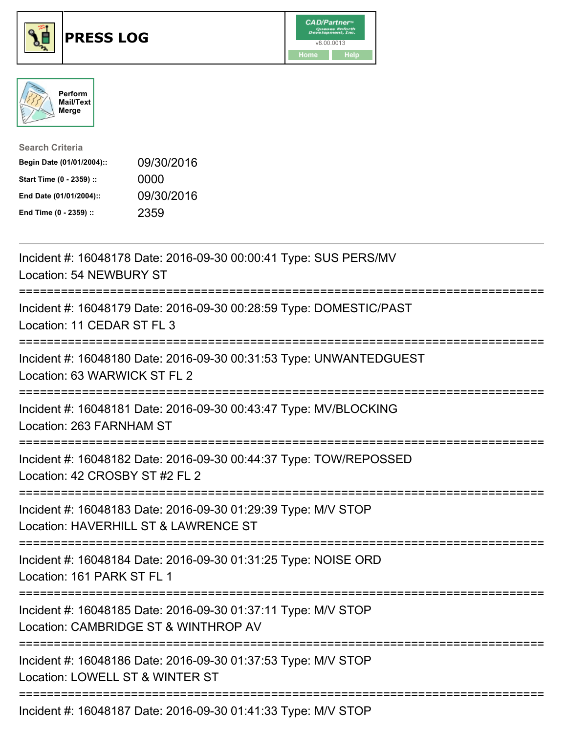





| <b>Search Criteria</b>    |            |
|---------------------------|------------|
| Begin Date (01/01/2004):: | 09/30/2016 |
| Start Time (0 - 2359) ::  | 0000       |
| End Date (01/01/2004)::   | 09/30/2016 |
| End Time (0 - 2359) ::    | 2359       |

| Incident #: 16048178 Date: 2016-09-30 00:00:41 Type: SUS PERS/MV<br>Location: 54 NEWBURY ST                                              |
|------------------------------------------------------------------------------------------------------------------------------------------|
| Incident #: 16048179 Date: 2016-09-30 00:28:59 Type: DOMESTIC/PAST<br>Location: 11 CEDAR ST FL 3                                         |
| Incident #: 16048180 Date: 2016-09-30 00:31:53 Type: UNWANTEDGUEST<br>Location: 63 WARWICK ST FL 2<br>------------                       |
| Incident #: 16048181 Date: 2016-09-30 00:43:47 Type: MV/BLOCKING<br>Location: 263 FARNHAM ST<br>-----------------                        |
| Incident #: 16048182 Date: 2016-09-30 00:44:37 Type: TOW/REPOSSED<br>Location: 42 CROSBY ST #2 FL 2                                      |
| Incident #: 16048183 Date: 2016-09-30 01:29:39 Type: M/V STOP<br>Location: HAVERHILL ST & LAWRENCE ST<br>==========================      |
| Incident #: 16048184 Date: 2016-09-30 01:31:25 Type: NOISE ORD<br>Location: 161 PARK ST FL 1                                             |
| Incident #: 16048185 Date: 2016-09-30 01:37:11 Type: M/V STOP<br>Location: CAMBRIDGE ST & WINTHROP AV<br>;============================== |
| Incident #: 16048186 Date: 2016-09-30 01:37:53 Type: M/V STOP<br>Location: LOWELL ST & WINTER ST                                         |
| Incident #: 16048187 Date: 2016-09-30 01:41:33 Type: M/V STOP                                                                            |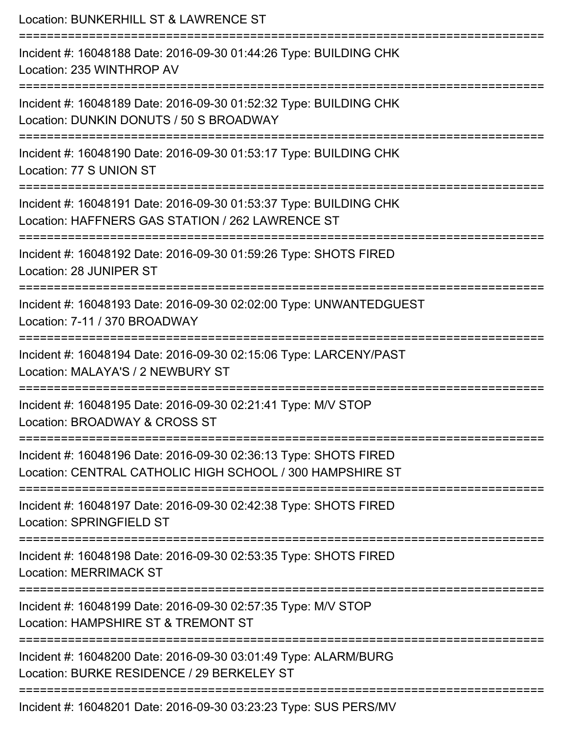| Location: BUNKERHILL ST & LAWRENCE ST                                                                                                          |
|------------------------------------------------------------------------------------------------------------------------------------------------|
| Incident #: 16048188 Date: 2016-09-30 01:44:26 Type: BUILDING CHK<br>Location: 235 WINTHROP AV                                                 |
| Incident #: 16048189 Date: 2016-09-30 01:52:32 Type: BUILDING CHK<br>Location: DUNKIN DONUTS / 50 S BROADWAY                                   |
| Incident #: 16048190 Date: 2016-09-30 01:53:17 Type: BUILDING CHK<br>Location: 77 S UNION ST                                                   |
| Incident #: 16048191 Date: 2016-09-30 01:53:37 Type: BUILDING CHK<br>Location: HAFFNERS GAS STATION / 262 LAWRENCE ST                          |
| Incident #: 16048192 Date: 2016-09-30 01:59:26 Type: SHOTS FIRED<br>Location: 28 JUNIPER ST                                                    |
| Incident #: 16048193 Date: 2016-09-30 02:02:00 Type: UNWANTEDGUEST<br>Location: 7-11 / 370 BROADWAY                                            |
| Incident #: 16048194 Date: 2016-09-30 02:15:06 Type: LARCENY/PAST<br>Location: MALAYA'S / 2 NEWBURY ST<br>==================================== |
| Incident #: 16048195 Date: 2016-09-30 02:21:41 Type: M/V STOP<br>Location: BROADWAY & CROSS ST                                                 |
| Incident #: 16048196 Date: 2016-09-30 02:36:13 Type: SHOTS FIRED<br>Location: CENTRAL CATHOLIC HIGH SCHOOL / 300 HAMPSHIRE ST                  |
| Incident #: 16048197 Date: 2016-09-30 02:42:38 Type: SHOTS FIRED<br><b>Location: SPRINGFIELD ST</b>                                            |
| Incident #: 16048198 Date: 2016-09-30 02:53:35 Type: SHOTS FIRED<br><b>Location: MERRIMACK ST</b>                                              |
| Incident #: 16048199 Date: 2016-09-30 02:57:35 Type: M/V STOP<br>Location: HAMPSHIRE ST & TREMONT ST                                           |
| Incident #: 16048200 Date: 2016-09-30 03:01:49 Type: ALARM/BURG<br>Location: BURKE RESIDENCE / 29 BERKELEY ST                                  |
| Incident #: 16048201 Date: 2016-09-30 03:23:23 Type: SUS PERS/MV                                                                               |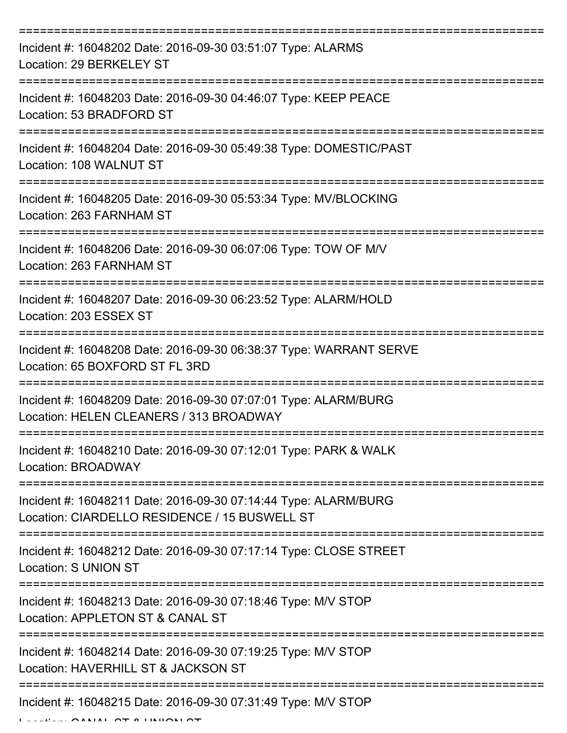| Incident #: 16048202 Date: 2016-09-30 03:51:07 Type: ALARMS<br>Location: 29 BERKELEY ST                                         |
|---------------------------------------------------------------------------------------------------------------------------------|
| Incident #: 16048203 Date: 2016-09-30 04:46:07 Type: KEEP PEACE<br>Location: 53 BRADFORD ST                                     |
| Incident #: 16048204 Date: 2016-09-30 05:49:38 Type: DOMESTIC/PAST<br>Location: 108 WALNUT ST                                   |
| Incident #: 16048205 Date: 2016-09-30 05:53:34 Type: MV/BLOCKING<br>Location: 263 FARNHAM ST                                    |
| Incident #: 16048206 Date: 2016-09-30 06:07:06 Type: TOW OF M/V<br>Location: 263 FARNHAM ST<br>-------------------------------- |
| Incident #: 16048207 Date: 2016-09-30 06:23:52 Type: ALARM/HOLD<br>Location: 203 ESSEX ST                                       |
| Incident #: 16048208 Date: 2016-09-30 06:38:37 Type: WARRANT SERVE<br>Location: 65 BOXFORD ST FL 3RD                            |
| Incident #: 16048209 Date: 2016-09-30 07:07:01 Type: ALARM/BURG<br>Location: HELEN CLEANERS / 313 BROADWAY                      |
| Incident #: 16048210 Date: 2016-09-30 07:12:01 Type: PARK & WALK<br>Location: BROADWAY                                          |
| Incident #: 16048211 Date: 2016-09-30 07:14:44 Type: ALARM/BURG<br>Location: CIARDELLO RESIDENCE / 15 BUSWELL ST                |
| Incident #: 16048212 Date: 2016-09-30 07:17:14 Type: CLOSE STREET<br>Location: S UNION ST                                       |
| Incident #: 16048213 Date: 2016-09-30 07:18:46 Type: M/V STOP<br>Location: APPLETON ST & CANAL ST                               |
| Incident #: 16048214 Date: 2016-09-30 07:19:25 Type: M/V STOP<br>Location: HAVERHILL ST & JACKSON ST                            |
| Incident #: 16048215 Date: 2016-09-30 07:31:49 Type: M/V STOP<br>CALLAI OT A IILIIOLI O                                         |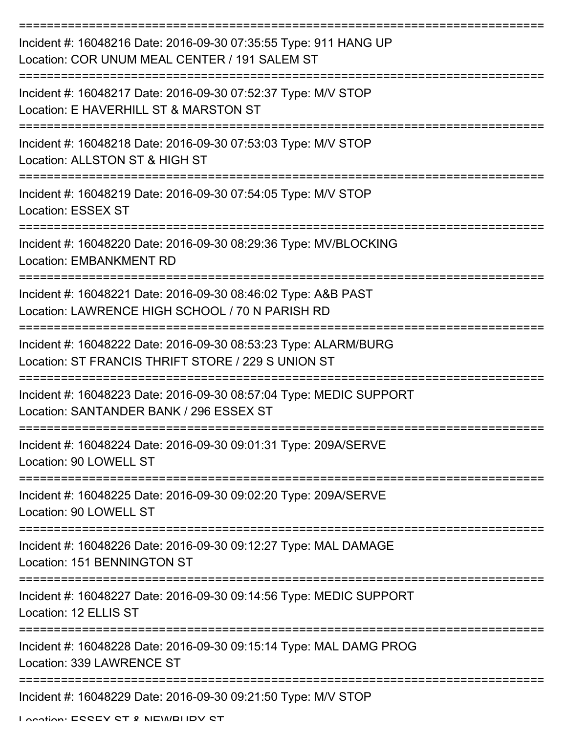| Incident #: 16048216 Date: 2016-09-30 07:35:55 Type: 911 HANG UP<br>Location: COR UNUM MEAL CENTER / 191 SALEM ST     |
|-----------------------------------------------------------------------------------------------------------------------|
| Incident #: 16048217 Date: 2016-09-30 07:52:37 Type: M/V STOP<br>Location: E HAVERHILL ST & MARSTON ST                |
| Incident #: 16048218 Date: 2016-09-30 07:53:03 Type: M/V STOP<br>Location: ALLSTON ST & HIGH ST                       |
| Incident #: 16048219 Date: 2016-09-30 07:54:05 Type: M/V STOP<br><b>Location: ESSEX ST</b>                            |
| Incident #: 16048220 Date: 2016-09-30 08:29:36 Type: MV/BLOCKING<br><b>Location: EMBANKMENT RD</b>                    |
| Incident #: 16048221 Date: 2016-09-30 08:46:02 Type: A&B PAST<br>Location: LAWRENCE HIGH SCHOOL / 70 N PARISH RD      |
| Incident #: 16048222 Date: 2016-09-30 08:53:23 Type: ALARM/BURG<br>Location: ST FRANCIS THRIFT STORE / 229 S UNION ST |
| Incident #: 16048223 Date: 2016-09-30 08:57:04 Type: MEDIC SUPPORT<br>Location: SANTANDER BANK / 296 ESSEX ST         |
| Incident #: 16048224 Date: 2016-09-30 09:01:31 Type: 209A/SERVE<br>Location: 90 LOWELL ST                             |
| Incident #: 16048225 Date: 2016-09-30 09:02:20 Type: 209A/SERVE<br>Location: 90 LOWELL ST                             |
| Incident #: 16048226 Date: 2016-09-30 09:12:27 Type: MAL DAMAGE<br>Location: 151 BENNINGTON ST                        |
| Incident #: 16048227 Date: 2016-09-30 09:14:56 Type: MEDIC SUPPORT<br>Location: 12 ELLIS ST                           |
| Incident #: 16048228 Date: 2016-09-30 09:15:14 Type: MAL DAMG PROG<br>Location: 339 LAWRENCE ST                       |
| Incident #: 16048229 Date: 2016-09-30 09:21:50 Type: M/V STOP                                                         |

Location: ESSEY ST & NEWBUDY ST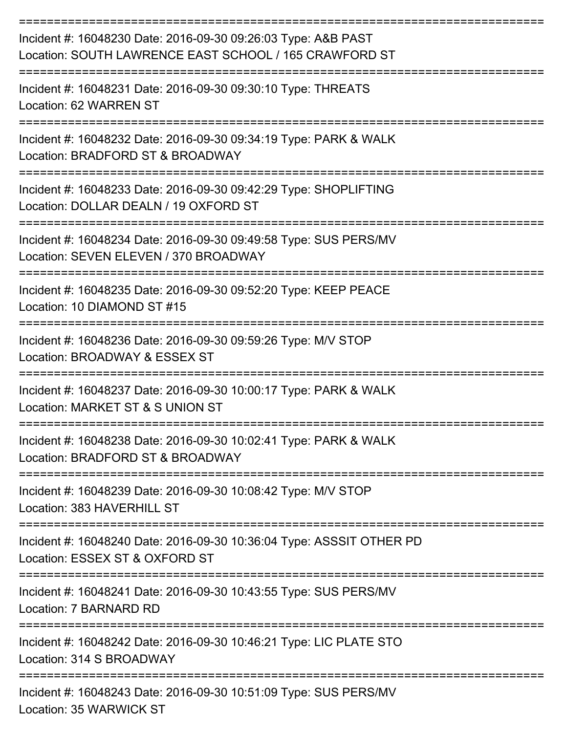| Incident #: 16048230 Date: 2016-09-30 09:26:03 Type: A&B PAST<br>Location: SOUTH LAWRENCE EAST SCHOOL / 165 CRAWFORD ST |
|-------------------------------------------------------------------------------------------------------------------------|
| Incident #: 16048231 Date: 2016-09-30 09:30:10 Type: THREATS<br>Location: 62 WARREN ST                                  |
| Incident #: 16048232 Date: 2016-09-30 09:34:19 Type: PARK & WALK<br>Location: BRADFORD ST & BROADWAY                    |
| Incident #: 16048233 Date: 2016-09-30 09:42:29 Type: SHOPLIFTING<br>Location: DOLLAR DEALN / 19 OXFORD ST               |
| Incident #: 16048234 Date: 2016-09-30 09:49:58 Type: SUS PERS/MV<br>Location: SEVEN ELEVEN / 370 BROADWAY               |
| Incident #: 16048235 Date: 2016-09-30 09:52:20 Type: KEEP PEACE<br>Location: 10 DIAMOND ST #15                          |
| Incident #: 16048236 Date: 2016-09-30 09:59:26 Type: M/V STOP<br>Location: BROADWAY & ESSEX ST                          |
| Incident #: 16048237 Date: 2016-09-30 10:00:17 Type: PARK & WALK<br>Location: MARKET ST & S UNION ST                    |
| Incident #: 16048238 Date: 2016-09-30 10:02:41 Type: PARK & WALK<br>Location: BRADFORD ST & BROADWAY                    |
| Incident #: 16048239 Date: 2016-09-30 10:08:42 Type: M/V STOP<br>Location: 383 HAVERHILL ST                             |
| Incident #: 16048240 Date: 2016-09-30 10:36:04 Type: ASSSIT OTHER PD<br>Location: ESSEX ST & OXFORD ST                  |
| Incident #: 16048241 Date: 2016-09-30 10:43:55 Type: SUS PERS/MV<br>Location: 7 BARNARD RD                              |
| Incident #: 16048242 Date: 2016-09-30 10:46:21 Type: LIC PLATE STO<br>Location: 314 S BROADWAY                          |
| Incident #: 16048243 Date: 2016-09-30 10:51:09 Type: SUS PERS/MV<br>Location: 35 WARWICK ST                             |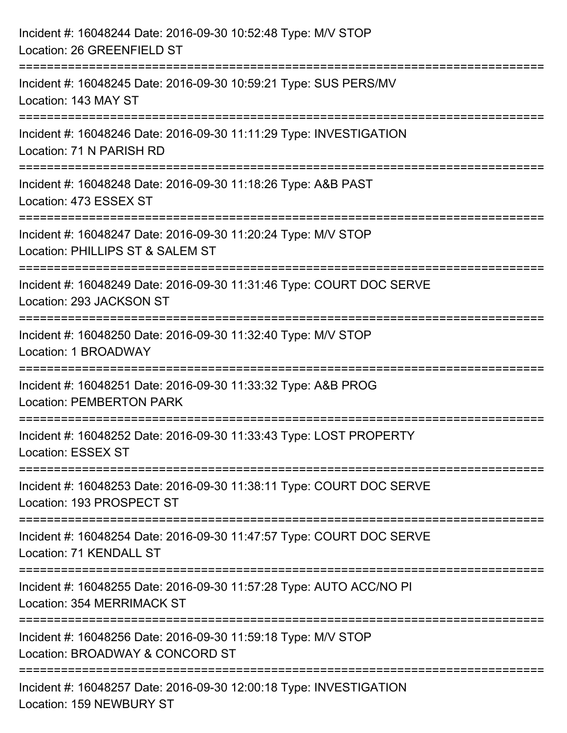| Incident #: 16048244 Date: 2016-09-30 10:52:48 Type: M/V STOP<br>Location: 26 GREENFIELD ST                               |
|---------------------------------------------------------------------------------------------------------------------------|
| Incident #: 16048245 Date: 2016-09-30 10:59:21 Type: SUS PERS/MV<br>Location: 143 MAY ST                                  |
| Incident #: 16048246 Date: 2016-09-30 11:11:29 Type: INVESTIGATION<br>Location: 71 N PARISH RD                            |
| ==============================<br>Incident #: 16048248 Date: 2016-09-30 11:18:26 Type: A&B PAST<br>Location: 473 ESSEX ST |
| Incident #: 16048247 Date: 2016-09-30 11:20:24 Type: M/V STOP<br>Location: PHILLIPS ST & SALEM ST                         |
| Incident #: 16048249 Date: 2016-09-30 11:31:46 Type: COURT DOC SERVE<br>Location: 293 JACKSON ST                          |
| Incident #: 16048250 Date: 2016-09-30 11:32:40 Type: M/V STOP<br>Location: 1 BROADWAY                                     |
| Incident #: 16048251 Date: 2016-09-30 11:33:32 Type: A&B PROG<br><b>Location: PEMBERTON PARK</b>                          |
| Incident #: 16048252 Date: 2016-09-30 11:33:43 Type: LOST PROPERTY<br><b>Location: ESSEX ST</b>                           |
| Incident #: 16048253 Date: 2016-09-30 11:38:11 Type: COURT DOC SERVE<br>Location: 193 PROSPECT ST                         |
| Incident #: 16048254 Date: 2016-09-30 11:47:57 Type: COURT DOC SERVE<br>Location: 71 KENDALL ST                           |
| Incident #: 16048255 Date: 2016-09-30 11:57:28 Type: AUTO ACC/NO PI<br>Location: 354 MERRIMACK ST                         |
| Incident #: 16048256 Date: 2016-09-30 11:59:18 Type: M/V STOP<br>Location: BROADWAY & CONCORD ST                          |
| Incident #: 16048257 Date: 2016-09-30 12:00:18 Type: INVESTIGATION<br>Location: 159 NEWBURY ST                            |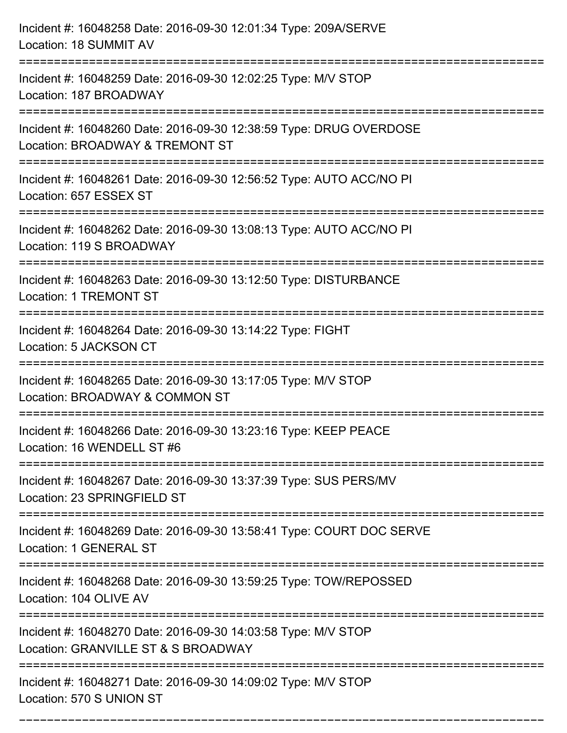| Incident #: 16048258 Date: 2016-09-30 12:01:34 Type: 209A/SERVE<br>Location: 18 SUMMIT AV                                      |
|--------------------------------------------------------------------------------------------------------------------------------|
| Incident #: 16048259 Date: 2016-09-30 12:02:25 Type: M/V STOP<br>Location: 187 BROADWAY                                        |
| Incident #: 16048260 Date: 2016-09-30 12:38:59 Type: DRUG OVERDOSE<br>Location: BROADWAY & TREMONT ST<br>:==================== |
| Incident #: 16048261 Date: 2016-09-30 12:56:52 Type: AUTO ACC/NO PI<br>Location: 657 ESSEX ST                                  |
| Incident #: 16048262 Date: 2016-09-30 13:08:13 Type: AUTO ACC/NO PI<br>Location: 119 S BROADWAY                                |
| Incident #: 16048263 Date: 2016-09-30 13:12:50 Type: DISTURBANCE<br><b>Location: 1 TREMONT ST</b>                              |
| Incident #: 16048264 Date: 2016-09-30 13:14:22 Type: FIGHT<br>Location: 5 JACKSON CT                                           |
| Incident #: 16048265 Date: 2016-09-30 13:17:05 Type: M/V STOP<br>Location: BROADWAY & COMMON ST                                |
| Incident #: 16048266 Date: 2016-09-30 13:23:16 Type: KEEP PEACE<br>Location: 16 WENDELL ST #6                                  |
| Incident #: 16048267 Date: 2016-09-30 13:37:39 Type: SUS PERS/MV<br>Location: 23 SPRINGFIELD ST                                |
| Incident #: 16048269 Date: 2016-09-30 13:58:41 Type: COURT DOC SERVE<br>Location: 1 GENERAL ST                                 |
| Incident #: 16048268 Date: 2016-09-30 13:59:25 Type: TOW/REPOSSED<br>Location: 104 OLIVE AV                                    |
| Incident #: 16048270 Date: 2016-09-30 14:03:58 Type: M/V STOP<br>Location: GRANVILLE ST & S BROADWAY                           |
| Incident #: 16048271 Date: 2016-09-30 14:09:02 Type: M/V STOP<br>Location: 570 S UNION ST                                      |

===========================================================================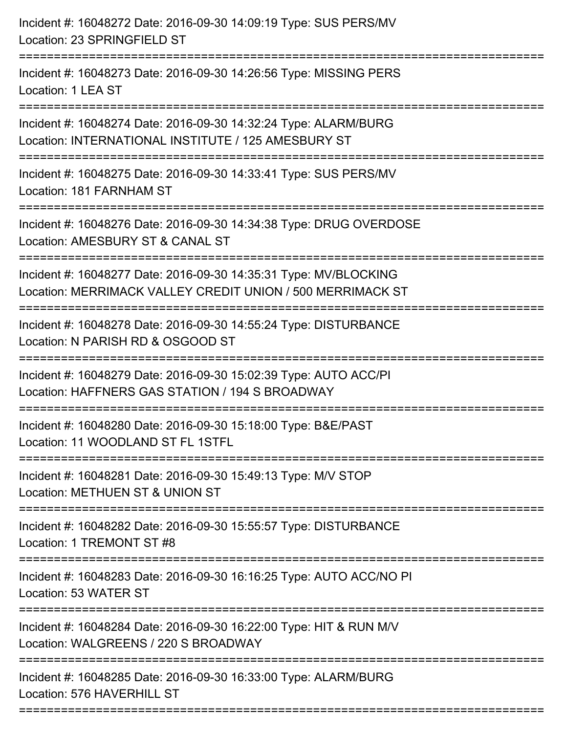| Incident #: 16048272 Date: 2016-09-30 14:09:19 Type: SUS PERS/MV<br>Location: 23 SPRINGFIELD ST<br>==========================                                             |
|---------------------------------------------------------------------------------------------------------------------------------------------------------------------------|
| Incident #: 16048273 Date: 2016-09-30 14:26:56 Type: MISSING PERS<br>Location: 1 LEA ST                                                                                   |
| Incident #: 16048274 Date: 2016-09-30 14:32:24 Type: ALARM/BURG<br>Location: INTERNATIONAL INSTITUTE / 125 AMESBURY ST<br>===============================                 |
| Incident #: 16048275 Date: 2016-09-30 14:33:41 Type: SUS PERS/MV<br>Location: 181 FARNHAM ST                                                                              |
| Incident #: 16048276 Date: 2016-09-30 14:34:38 Type: DRUG OVERDOSE<br>Location: AMESBURY ST & CANAL ST<br>====================================<br>======================= |
| Incident #: 16048277 Date: 2016-09-30 14:35:31 Type: MV/BLOCKING<br>Location: MERRIMACK VALLEY CREDIT UNION / 500 MERRIMACK ST<br>:=====================                  |
| Incident #: 16048278 Date: 2016-09-30 14:55:24 Type: DISTURBANCE<br>Location: N PARISH RD & OSGOOD ST<br>----------------                                                 |
| Incident #: 16048279 Date: 2016-09-30 15:02:39 Type: AUTO ACC/PI<br>Location: HAFFNERS GAS STATION / 194 S BROADWAY                                                       |
| Incident #: 16048280 Date: 2016-09-30 15:18:00 Type: B&E/PAST<br>Location: 11 WOODLAND ST FL 1STFL                                                                        |
| Incident #: 16048281 Date: 2016-09-30 15:49:13 Type: M/V STOP<br>Location: METHUEN ST & UNION ST                                                                          |
| Incident #: 16048282 Date: 2016-09-30 15:55:57 Type: DISTURBANCE<br>Location: 1 TREMONT ST #8                                                                             |
| Incident #: 16048283 Date: 2016-09-30 16:16:25 Type: AUTO ACC/NO PI<br>Location: 53 WATER ST                                                                              |
| Incident #: 16048284 Date: 2016-09-30 16:22:00 Type: HIT & RUN M/V<br>Location: WALGREENS / 220 S BROADWAY                                                                |
| Incident #: 16048285 Date: 2016-09-30 16:33:00 Type: ALARM/BURG<br>Location: 576 HAVERHILL ST                                                                             |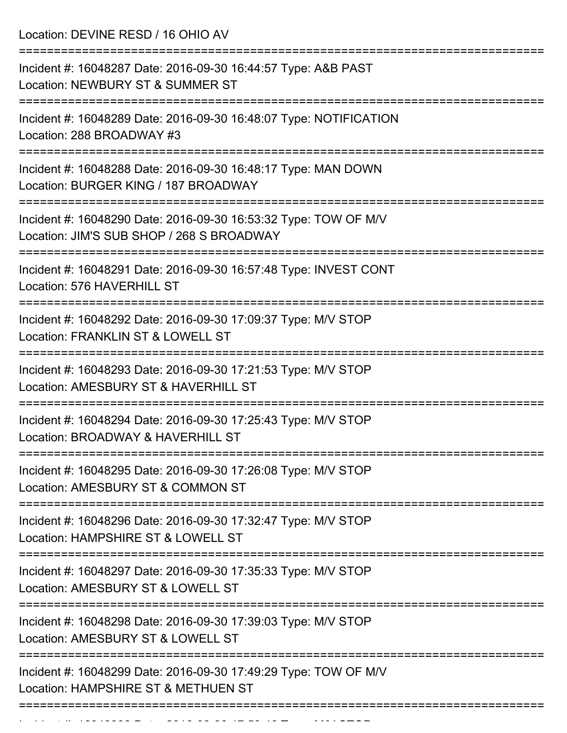Location: DEVINE RESD / 16 OHIO AV =========================================================================== Incident #: 16048287 Date: 2016-09-30 16:44:57 Type: A&B PAST Location: NEWBURY ST & SUMMER ST =========================================================================== Incident #: 16048289 Date: 2016-09-30 16:48:07 Type: NOTIFICATION Location: 288 BROADWAY #3 =========================================================================== Incident #: 16048288 Date: 2016-09-30 16:48:17 Type: MAN DOWN Location: BURGER KING / 187 BROADWAY =========================================================================== Incident #: 16048290 Date: 2016-09-30 16:53:32 Type: TOW OF M/V Location: JIM'S SUB SHOP / 268 S BROADWAY =========================================================================== Incident #: 16048291 Date: 2016-09-30 16:57:48 Type: INVEST CONT Location: 576 HAVERHILL ST =========================================================================== Incident #: 16048292 Date: 2016-09-30 17:09:37 Type: M/V STOP Location: FRANKLIN ST & LOWELL ST =========================================================================== Incident #: 16048293 Date: 2016-09-30 17:21:53 Type: M/V STOP Location: AMESBURY ST & HAVERHILL ST =========================================================================== Incident #: 16048294 Date: 2016-09-30 17:25:43 Type: M/V STOP Location: BROADWAY & HAVERHILL ST =========================================================================== Incident #: 16048295 Date: 2016-09-30 17:26:08 Type: M/V STOP Location: AMESBURY ST & COMMON ST =========================================================================== Incident #: 16048296 Date: 2016-09-30 17:32:47 Type: M/V STOP Location: HAMPSHIRE ST & LOWELL ST =========================================================================== Incident #: 16048297 Date: 2016-09-30 17:35:33 Type: M/V STOP Location: AMESBURY ST & LOWELL ST =========================================================================== Incident #: 16048298 Date: 2016-09-30 17:39:03 Type: M/V STOP Location: AMESBURY ST & LOWELL ST =========================================================================== Incident #: 16048299 Date: 2016-09-30 17:49:29 Type: TOW OF M/V Location: HAMPSHIRE ST & METHUEN ST ===========================================================================

Incident #: 16048300 Date: 2016 09 30 17:50:50 Date: M/V STOP: M/V STOP:<br>.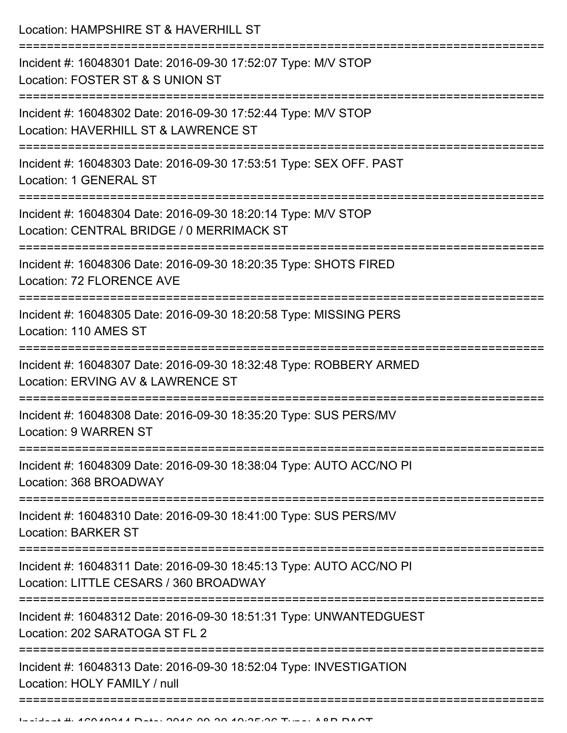Location: HAMPSHIRE ST & HAVERHILL ST

| Incident #: 16048301 Date: 2016-09-30 17:52:07 Type: M/V STOP<br>Location: FOSTER ST & S UNION ST             |
|---------------------------------------------------------------------------------------------------------------|
| Incident #: 16048302 Date: 2016-09-30 17:52:44 Type: M/V STOP<br>Location: HAVERHILL ST & LAWRENCE ST         |
| Incident #: 16048303 Date: 2016-09-30 17:53:51 Type: SEX OFF. PAST<br>Location: 1 GENERAL ST                  |
| Incident #: 16048304 Date: 2016-09-30 18:20:14 Type: M/V STOP<br>Location: CENTRAL BRIDGE / 0 MERRIMACK ST    |
| Incident #: 16048306 Date: 2016-09-30 18:20:35 Type: SHOTS FIRED<br>Location: 72 FLORENCE AVE                 |
| Incident #: 16048305 Date: 2016-09-30 18:20:58 Type: MISSING PERS<br>Location: 110 AMES ST                    |
| Incident #: 16048307 Date: 2016-09-30 18:32:48 Type: ROBBERY ARMED<br>Location: ERVING AV & LAWRENCE ST       |
| Incident #: 16048308 Date: 2016-09-30 18:35:20 Type: SUS PERS/MV<br>Location: 9 WARREN ST                     |
| Incident #: 16048309 Date: 2016-09-30 18:38:04 Type: AUTO ACC/NO PI<br>Location: 368 BROADWAY                 |
| Incident #: 16048310 Date: 2016-09-30 18:41:00 Type: SUS PERS/MV<br><b>Location: BARKER ST</b>                |
| Incident #: 16048311 Date: 2016-09-30 18:45:13 Type: AUTO ACC/NO PI<br>Location: LITTLE CESARS / 360 BROADWAY |
| Incident #: 16048312 Date: 2016-09-30 18:51:31 Type: UNWANTEDGUEST<br>Location: 202 SARATOGA ST FL 2          |
| Incident #: 16048313 Date: 2016-09-30 18:52:04 Type: INVESTIGATION<br>Location: HOLY FAMILY / null            |
|                                                                                                               |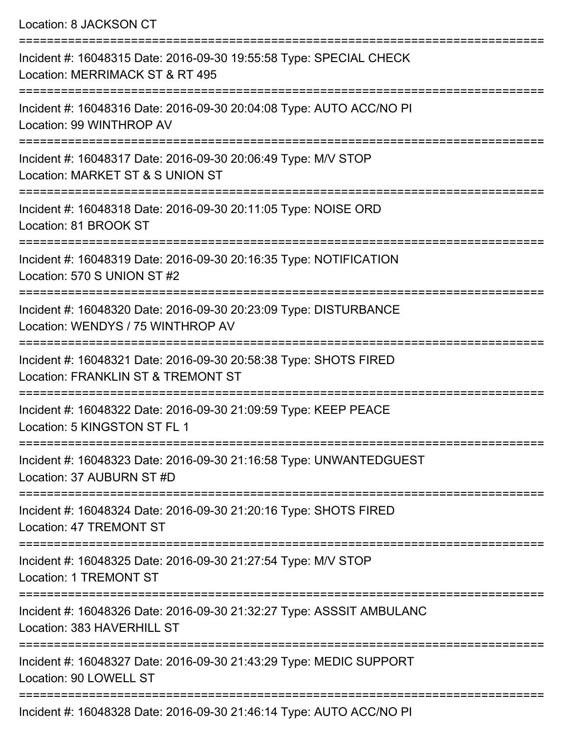Location: 8 JACKSON CT

=========================================================================== Incident #: 16048315 Date: 2016-09-30 19:55:58 Type: SPECIAL CHECK Location: MERRIMACK ST & RT 495 =========================================================================== Incident #: 16048316 Date: 2016-09-30 20:04:08 Type: AUTO ACC/NO PI Location: 99 WINTHROP AV =========================================================================== Incident #: 16048317 Date: 2016-09-30 20:06:49 Type: M/V STOP Location: MARKET ST & S UNION ST =========================================================================== Incident #: 16048318 Date: 2016-09-30 20:11:05 Type: NOISE ORD Location: 81 BROOK ST =========================================================================== Incident #: 16048319 Date: 2016-09-30 20:16:35 Type: NOTIFICATION Location: 570 S UNION ST #2 =========================================================================== Incident #: 16048320 Date: 2016-09-30 20:23:09 Type: DISTURBANCE Location: WENDYS / 75 WINTHROP AV =========================================================================== Incident #: 16048321 Date: 2016-09-30 20:58:38 Type: SHOTS FIRED Location: FRANKLIN ST & TREMONT ST =========================================================================== Incident #: 16048322 Date: 2016-09-30 21:09:59 Type: KEEP PEACE Location: 5 KINGSTON ST FL 1 =========================================================================== Incident #: 16048323 Date: 2016-09-30 21:16:58 Type: UNWANTEDGUEST Location: 37 AUBURN ST #D =========================================================================== Incident #: 16048324 Date: 2016-09-30 21:20:16 Type: SHOTS FIRED Location: 47 TREMONT ST =========================================================================== Incident #: 16048325 Date: 2016-09-30 21:27:54 Type: M/V STOP Location: 1 TREMONT ST =========================================================================== Incident #: 16048326 Date: 2016-09-30 21:32:27 Type: ASSSIT AMBULANC Location: 383 HAVERHILL ST =========================================================================== Incident #: 16048327 Date: 2016-09-30 21:43:29 Type: MEDIC SUPPORT Location: 90 LOWELL ST ===========================================================================

Incident #: 16048328 Date: 2016-09-30 21:46:14 Type: AUTO ACC/NO PI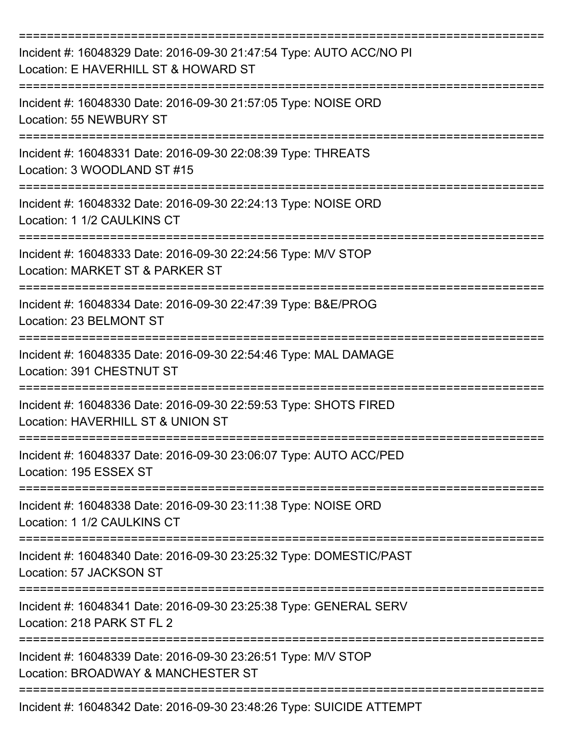| Incident #: 16048329 Date: 2016-09-30 21:47:54 Type: AUTO ACC/NO PI<br>Location: E HAVERHILL ST & HOWARD ST |
|-------------------------------------------------------------------------------------------------------------|
| Incident #: 16048330 Date: 2016-09-30 21:57:05 Type: NOISE ORD<br>Location: 55 NEWBURY ST                   |
| Incident #: 16048331 Date: 2016-09-30 22:08:39 Type: THREATS<br>Location: 3 WOODLAND ST #15                 |
| Incident #: 16048332 Date: 2016-09-30 22:24:13 Type: NOISE ORD<br>Location: 1 1/2 CAULKINS CT               |
| Incident #: 16048333 Date: 2016-09-30 22:24:56 Type: M/V STOP<br>Location: MARKET ST & PARKER ST            |
| Incident #: 16048334 Date: 2016-09-30 22:47:39 Type: B&E/PROG<br>Location: 23 BELMONT ST                    |
| Incident #: 16048335 Date: 2016-09-30 22:54:46 Type: MAL DAMAGE<br>Location: 391 CHESTNUT ST                |
| Incident #: 16048336 Date: 2016-09-30 22:59:53 Type: SHOTS FIRED<br>Location: HAVERHILL ST & UNION ST       |
| Incident #: 16048337 Date: 2016-09-30 23:06:07 Type: AUTO ACC/PED<br>Location: 195 ESSEX ST                 |
| Incident #: 16048338 Date: 2016-09-30 23:11:38 Type: NOISE ORD<br>Location: 1 1/2 CAULKINS CT               |
| Incident #: 16048340 Date: 2016-09-30 23:25:32 Type: DOMESTIC/PAST<br>Location: 57 JACKSON ST               |
| Incident #: 16048341 Date: 2016-09-30 23:25:38 Type: GENERAL SERV<br>Location: 218 PARK ST FL 2             |
| Incident #: 16048339 Date: 2016-09-30 23:26:51 Type: M/V STOP<br>Location: BROADWAY & MANCHESTER ST         |
| Incident #: 16048342 Date: 2016-09-30 23:48:26 Type: SUICIDE ATTEMPT                                        |